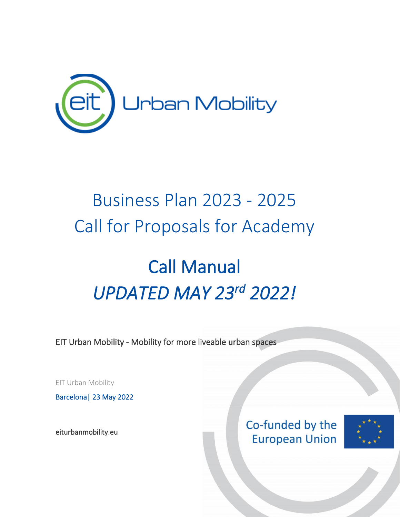

## Business Plan 2023 - 2025 Call for Proposals for Academy

# Call Manual *UPDATED MAY 23rd 2022!*

EIT Urban Mobility - Mobility for more liveable urban spaces

EIT Urban Mobility

Barcelona| 23 May 2022

[eiturbanmobility.eu](http://www.eiturbanmobility.eu/) 

Co-funded by the **European Union** 

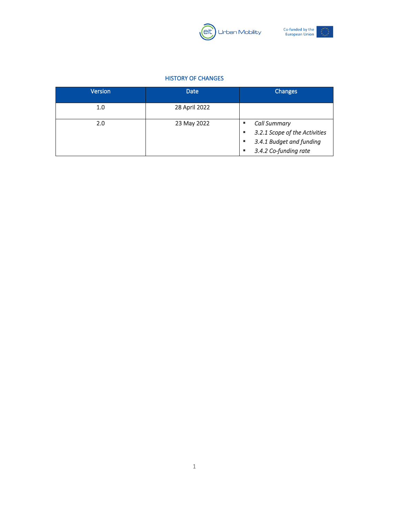



#### HISTORY OF CHANGES

<span id="page-1-0"></span>

| <b>Version</b> | <b>Date</b>   | <b>Changes</b>                                                                                            |
|----------------|---------------|-----------------------------------------------------------------------------------------------------------|
| 1.0            | 28 April 2022 |                                                                                                           |
| 2.0            | 23 May 2022   | <b>Call Summary</b><br>3.2.1 Scope of the Activities<br>3.4.1 Budget and funding<br>3.4.2 Co-funding rate |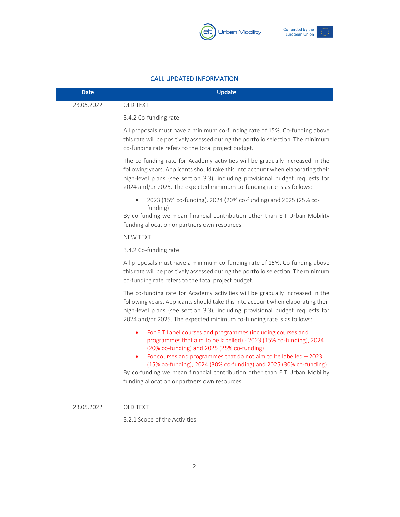



#### CALL UPDATED INFORMATION

<span id="page-2-0"></span>

| Date       | Update                                                                                                                                                                                                                                                                                                                                                                                                                                                  |  |  |
|------------|---------------------------------------------------------------------------------------------------------------------------------------------------------------------------------------------------------------------------------------------------------------------------------------------------------------------------------------------------------------------------------------------------------------------------------------------------------|--|--|
| 23.05.2022 | <b>OLD TEXT</b>                                                                                                                                                                                                                                                                                                                                                                                                                                         |  |  |
|            | 3.4.2 Co-funding rate                                                                                                                                                                                                                                                                                                                                                                                                                                   |  |  |
|            | All proposals must have a minimum co-funding rate of 15%. Co-funding above<br>this rate will be positively assessed during the portfolio selection. The minimum<br>co-funding rate refers to the total project budget.                                                                                                                                                                                                                                  |  |  |
|            | The co-funding rate for Academy activities will be gradually increased in the<br>following years. Applicants should take this into account when elaborating their<br>high-level plans (see section 3.3), including provisional budget requests for<br>2024 and/or 2025. The expected minimum co-funding rate is as follows:                                                                                                                             |  |  |
|            | 2023 (15% co-funding), 2024 (20% co-funding) and 2025 (25% co-<br>funding)<br>By co-funding we mean financial contribution other than EIT Urban Mobility<br>funding allocation or partners own resources.                                                                                                                                                                                                                                               |  |  |
|            | <b>NEW TEXT</b>                                                                                                                                                                                                                                                                                                                                                                                                                                         |  |  |
|            | 3.4.2 Co-funding rate                                                                                                                                                                                                                                                                                                                                                                                                                                   |  |  |
|            | All proposals must have a minimum co-funding rate of 15%. Co-funding above<br>this rate will be positively assessed during the portfolio selection. The minimum<br>co-funding rate refers to the total project budget.                                                                                                                                                                                                                                  |  |  |
|            | The co-funding rate for Academy activities will be gradually increased in the<br>following years. Applicants should take this into account when elaborating their<br>high-level plans (see section 3.3), including provisional budget requests for<br>2024 and/or 2025. The expected minimum co-funding rate is as follows:                                                                                                                             |  |  |
|            | For EIT Label courses and programmes (including courses and<br>programmes that aim to be labelled) - 2023 (15% co-funding), 2024<br>(20% co-funding) and 2025 (25% co-funding)<br>For courses and programmes that do not aim to be labelled $-2023$<br>(15% co-funding), 2024 (30% co-funding) and 2025 (30% co-funding)<br>By co-funding we mean financial contribution other than EIT Urban Mobility<br>funding allocation or partners own resources. |  |  |
| 23.05.2022 | OLD TEXT                                                                                                                                                                                                                                                                                                                                                                                                                                                |  |  |
|            | 3.2.1 Scope of the Activities                                                                                                                                                                                                                                                                                                                                                                                                                           |  |  |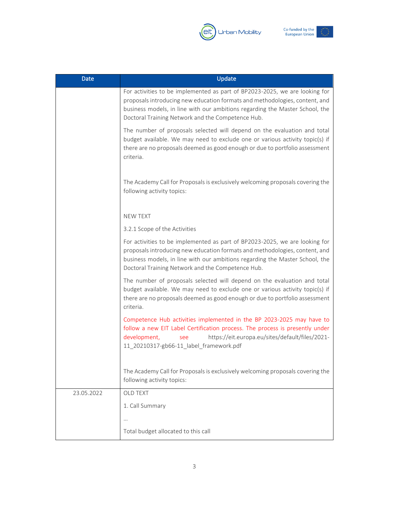



| Date       | Update                                                                                                                                                                                                                                                                                          |  |  |
|------------|-------------------------------------------------------------------------------------------------------------------------------------------------------------------------------------------------------------------------------------------------------------------------------------------------|--|--|
|            | For activities to be implemented as part of BP2023-2025, we are looking for<br>proposals introducing new education formats and methodologies, content, and<br>business models, in line with our ambitions regarding the Master School, the<br>Doctoral Training Network and the Competence Hub. |  |  |
|            | The number of proposals selected will depend on the evaluation and total<br>budget available. We may need to exclude one or various activity topic(s) if<br>there are no proposals deemed as good enough or due to portfolio assessment<br>criteria.                                            |  |  |
|            | The Academy Call for Proposals is exclusively welcoming proposals covering the<br>following activity topics:                                                                                                                                                                                    |  |  |
|            | <b>NEW TEXT</b>                                                                                                                                                                                                                                                                                 |  |  |
|            | 3.2.1 Scope of the Activities                                                                                                                                                                                                                                                                   |  |  |
|            | For activities to be implemented as part of BP2023-2025, we are looking for<br>proposals introducing new education formats and methodologies, content, and<br>business models, in line with our ambitions regarding the Master School, the<br>Doctoral Training Network and the Competence Hub. |  |  |
|            | The number of proposals selected will depend on the evaluation and total<br>budget available. We may need to exclude one or various activity topic(s) if<br>there are no proposals deemed as good enough or due to portfolio assessment<br>criteria.                                            |  |  |
|            | Competence Hub activities implemented in the BP 2023-2025 may have to<br>follow a new EIT Label Certification process. The process is presently under<br>https://eit.europa.eu/sites/default/files/2021-<br>development,<br>see<br>11 20210317-gb66-11 label framework.pdf                      |  |  |
|            | The Academy Call for Proposals is exclusively welcoming proposals covering the<br>following activity topics:                                                                                                                                                                                    |  |  |
| 23.05.2022 | OLD TEXT                                                                                                                                                                                                                                                                                        |  |  |
|            | 1. Call Summary                                                                                                                                                                                                                                                                                 |  |  |
|            | $\cdots$                                                                                                                                                                                                                                                                                        |  |  |
|            | Total budget allocated to this call                                                                                                                                                                                                                                                             |  |  |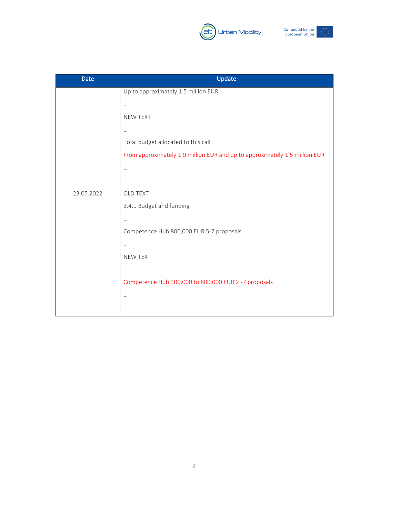



| <b>Date</b> | Update                                                                     |
|-------------|----------------------------------------------------------------------------|
|             | Up to approximately 1.5 million EUR                                        |
|             | $\cdots$                                                                   |
|             | <b>NEW TEXT</b>                                                            |
|             | $\cdots$                                                                   |
|             | Total budget allocated to this call                                        |
|             | From approximately 1.0 million EUR and up to approximately 1.5 million EUR |
|             | $\cdots$                                                                   |
|             |                                                                            |
| 23.05.2022  | <b>OLD TEXT</b>                                                            |
|             | 3.4.1 Budget and funding                                                   |
|             | $\cdots$                                                                   |
|             | Competence Hub 800,000 EUR 5-7 proposals                                   |
|             | $\cdots$                                                                   |
|             | <b>NEW TEX</b>                                                             |
|             | $\cdots$                                                                   |
|             | Competence Hub 300,000 to 800,000 EUR 2 -7 proposals                       |
|             | $\cdots$                                                                   |
|             |                                                                            |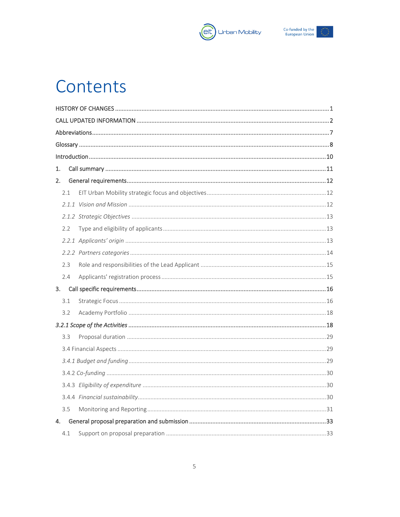



## Contents

| 1.  |  |  |  |  |
|-----|--|--|--|--|
| 2.  |  |  |  |  |
| 2.1 |  |  |  |  |
|     |  |  |  |  |
|     |  |  |  |  |
| 2.2 |  |  |  |  |
|     |  |  |  |  |
|     |  |  |  |  |
| 2.3 |  |  |  |  |
| 2.4 |  |  |  |  |
|     |  |  |  |  |
| 3.1 |  |  |  |  |
| 3.2 |  |  |  |  |
|     |  |  |  |  |
| 3.3 |  |  |  |  |
|     |  |  |  |  |
|     |  |  |  |  |
|     |  |  |  |  |
|     |  |  |  |  |
|     |  |  |  |  |
| 3.5 |  |  |  |  |
| 4.  |  |  |  |  |
| 4.1 |  |  |  |  |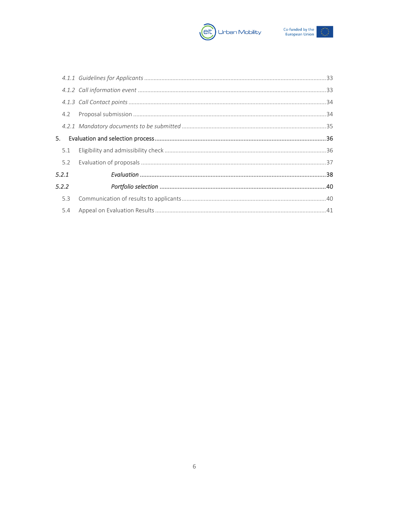



| 4.2   |  |
|-------|--|
|       |  |
|       |  |
| 5.1   |  |
| 5.2   |  |
| 5.2.1 |  |
| 5.2.2 |  |
| 5.3   |  |
| 5.4   |  |
|       |  |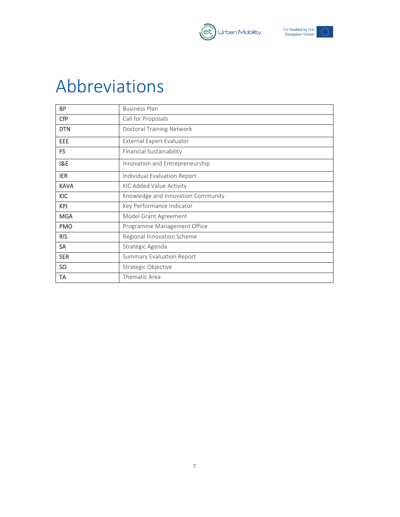



## <span id="page-7-0"></span>Abbreviations

| <b>BP</b>      | <b>Business Plan</b>               |
|----------------|------------------------------------|
| <b>CfP</b>     | Call for Proposals                 |
| <b>DTN</b>     | <b>Doctoral Training Network</b>   |
| EEE            | External Expert Evaluator          |
| FS             | Financial Sustainability           |
| <b>I&amp;E</b> | Innovation and Entrepreneurship    |
| <b>IER</b>     | Individual Evaluation Report       |
| <b>KAVA</b>    | KIC Added Value Activity           |
| <b>KIC</b>     | Knowledge and Innovation Community |
| <b>KPI</b>     | Key Performance Indicator          |
| <b>MGA</b>     | Model Grant Agreement              |
| <b>PMO</b>     | Programme Management Office        |
| <b>RIS</b>     | Regional Innovation Scheme         |
| <b>SA</b>      | Strategic Agenda                   |
| <b>SER</b>     | <b>Summary Evaluation Report</b>   |
| SO.            | Strategic Objective                |
| TA             | Thematic Area                      |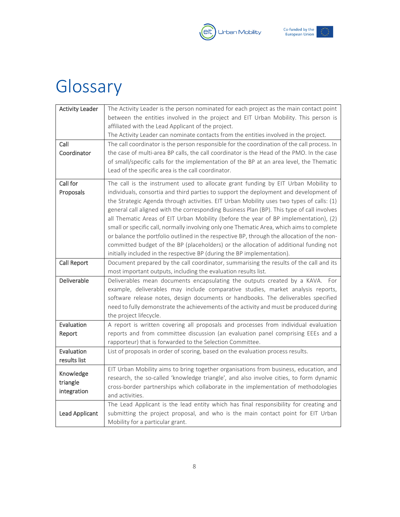



## <span id="page-8-0"></span>Glossary

| <b>Activity Leader</b> | The Activity Leader is the person nominated for each project as the main contact point      |
|------------------------|---------------------------------------------------------------------------------------------|
|                        | between the entities involved in the project and EIT Urban Mobility. This person is         |
|                        | affiliated with the Lead Applicant of the project.                                          |
|                        | The Activity Leader can nominate contacts from the entities involved in the project.        |
| Call                   | The call coordinator is the person responsible for the coordination of the call process. In |
| Coordinator            | the case of multi-area BP calls, the call coordinator is the Head of the PMO. In the case   |
|                        | of small/specific calls for the implementation of the BP at an area level, the Thematic     |
|                        | Lead of the specific area is the call coordinator.                                          |
| Call for               | The call is the instrument used to allocate grant funding by EIT Urban Mobility to          |
| Proposals              | individuals, consortia and third parties to support the deployment and development of       |
|                        | the Strategic Agenda through activities. EIT Urban Mobility uses two types of calls: (1)    |
|                        | general call aligned with the corresponding Business Plan (BP). This type of call involves  |
|                        | all Thematic Areas of EIT Urban Mobility (before the year of BP implementation), (2)        |
|                        | small or specific call, normally involving only one Thematic Area, which aims to complete   |
|                        | or balance the portfolio outlined in the respective BP, through the allocation of the non-  |
|                        | committed budget of the BP (placeholders) or the allocation of additional funding not       |
|                        | initially included in the respective BP (during the BP implementation).                     |
| Call Report            | Document prepared by the call coordinator, summarising the results of the call and its      |
|                        | most important outputs, including the evaluation results list.                              |
| Deliverable            | Deliverables mean documents encapsulating the outputs created by a KAVA.<br>For             |
|                        | example, deliverables may include comparative studies, market analysis reports,             |
|                        | software release notes, design documents or handbooks. The deliverables specified           |
|                        | need to fully demonstrate the achievements of the activity and must be produced during      |
|                        | the project lifecycle.                                                                      |
| Evaluation             | A report is written covering all proposals and processes from individual evaluation         |
| Report                 | reports and from committee discussion (an evaluation panel comprising EEEs and a            |
|                        | rapporteur) that is forwarded to the Selection Committee.                                   |
| Evaluation             | List of proposals in order of scoring, based on the evaluation process results.             |
| results list           |                                                                                             |
| Knowledge              | EIT Urban Mobility aims to bring together organisations from business, education, and       |
| triangle               | research, the so-called 'knowledge triangle', and also involve cities, to form dynamic      |
| integration            | cross-border partnerships which collaborate in the implementation of methodologies          |
|                        | and activities.                                                                             |
|                        | The Lead Applicant is the lead entity which has final responsibility for creating and       |
| <b>Lead Applicant</b>  | submitting the project proposal, and who is the main contact point for EIT Urban            |
|                        | Mobility for a particular grant.                                                            |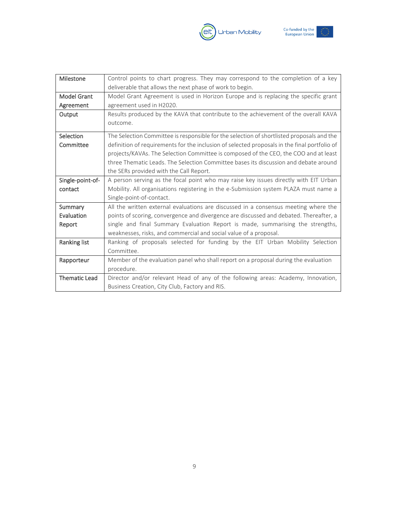



| Milestone            | Control points to chart progress. They may correspond to the completion of a key             |  |  |  |
|----------------------|----------------------------------------------------------------------------------------------|--|--|--|
|                      | deliverable that allows the next phase of work to begin.                                     |  |  |  |
| <b>Model Grant</b>   | Model Grant Agreement is used in Horizon Europe and is replacing the specific grant          |  |  |  |
| Agreement            | agreement used in H2020.                                                                     |  |  |  |
| Output               | Results produced by the KAVA that contribute to the achievement of the overall KAVA          |  |  |  |
|                      | outcome.                                                                                     |  |  |  |
| Selection            | The Selection Committee is responsible for the selection of shortlisted proposals and the    |  |  |  |
| Committee            | definition of requirements for the inclusion of selected proposals in the final portfolio of |  |  |  |
|                      | projects/KAVAs. The Selection Committee is composed of the CEO, the COO and at least         |  |  |  |
|                      | three Thematic Leads. The Selection Committee bases its discussion and debate around         |  |  |  |
|                      | the SERs provided with the Call Report.                                                      |  |  |  |
| Single-point-of-     | A person serving as the focal point who may raise key issues directly with EIT Urban         |  |  |  |
| contact              | Mobility. All organisations registering in the e-Submission system PLAZA must name a         |  |  |  |
|                      | Single-point-of-contact.                                                                     |  |  |  |
| Summary              | All the written external evaluations are discussed in a consensus meeting where the          |  |  |  |
| Evaluation           | points of scoring, convergence and divergence are discussed and debated. Thereafter, a       |  |  |  |
| Report               | single and final Summary Evaluation Report is made, summarising the strengths,               |  |  |  |
|                      | weaknesses, risks, and commercial and social value of a proposal.                            |  |  |  |
| Ranking list         | Ranking of proposals selected for funding by the EIT Urban Mobility Selection                |  |  |  |
|                      | Committee.                                                                                   |  |  |  |
| Rapporteur           | Member of the evaluation panel who shall report on a proposal during the evaluation          |  |  |  |
|                      | procedure.                                                                                   |  |  |  |
| <b>Thematic Lead</b> | Director and/or relevant Head of any of the following areas: Academy, Innovation,            |  |  |  |
|                      | Business Creation, City Club, Factory and RIS.                                               |  |  |  |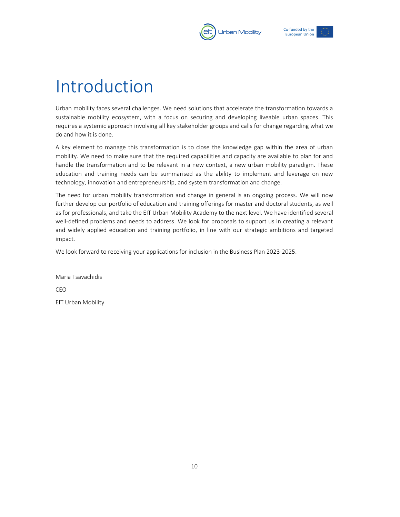



## <span id="page-10-0"></span>Introduction

Urban mobility faces several challenges. We need solutions that accelerate the transformation towards a sustainable mobility ecosystem, with a focus on securing and developing liveable urban spaces. This requires a systemic approach involving all key stakeholder groups and calls for change regarding what we do and how it is done.

A key element to manage this transformation is to close the knowledge gap within the area of urban mobility. We need to make sure that the required capabilities and capacity are available to plan for and handle the transformation and to be relevant in a new context, a new urban mobility paradigm. These education and training needs can be summarised as the ability to implement and leverage on new technology, innovation and entrepreneurship, and system transformation and change.

The need for urban mobility transformation and change in general is an ongoing process. We will now further develop our portfolio of education and training offerings for master and doctoral students, as well as for professionals, and take the EIT Urban Mobility Academy to the next level. We have identified several well-defined problems and needs to address. We look for proposals to support us in creating a relevant and widely applied education and training portfolio, in line with our strategic ambitions and targeted impact.

We look forward to receiving your applications for inclusion in the Business Plan 2023-2025.

Maria Tsavachidis CEO EIT Urban Mobility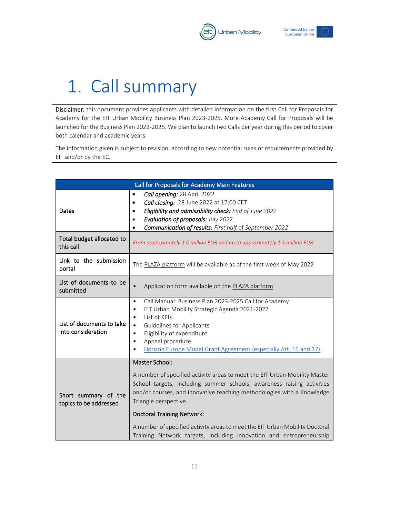



## <span id="page-11-0"></span>1. Call summary

Disclaimer: this document provides applicants with detailed information on the first Call for Proposals for Academy for the EIT Urban Mobility Business Plan 2023-2025. More Academy Call for Proposals will be launched for the Business Plan 2023-2025. We plan to launch two Calls per year during this period to cover both calendar and academic years.

The information given is subject to revision, according to new potential rules or requirements provided by EIT and/or by the EC.

| Call for Proposals for Academy Main Features    |                                                                                                                                                                                                                                                                                                                                                                                                                                                                       |  |  |  |
|-------------------------------------------------|-----------------------------------------------------------------------------------------------------------------------------------------------------------------------------------------------------------------------------------------------------------------------------------------------------------------------------------------------------------------------------------------------------------------------------------------------------------------------|--|--|--|
| Dates                                           | Call opening: 28 April 2022<br>$\bullet$<br>Call closing: 28 June 2022 at 17:00 CET<br>٠<br>Eligibility and admissibility check: End of June 2022<br>$\bullet$<br>Evaluation of proposals: July 2022<br>$\bullet$<br>Communication of results: First half of September 2022                                                                                                                                                                                           |  |  |  |
| Total budget allocated to<br>this call          | From approximately 1.0 million EUR and up to approximately 1.5 million EUR                                                                                                                                                                                                                                                                                                                                                                                            |  |  |  |
| Link to the submission<br>portal                | The PLAZA platform will be available as of the first week of May 2022                                                                                                                                                                                                                                                                                                                                                                                                 |  |  |  |
| List of documents to be<br>submitted            | Application form available on the PLAZA platform<br>$\bullet$                                                                                                                                                                                                                                                                                                                                                                                                         |  |  |  |
| List of documents to take<br>into consideration | Call Manual: Business Plan 2023-2025 Call for Academy<br>$\bullet$<br>EIT Urban Mobility Strategic Agenda 2021-2027<br>٠<br>List of KPIs<br>٠<br><b>Guidelines for Applicants</b><br>$\bullet$<br>Eligibility of expenditure<br>٠<br>Appeal procedure<br>٠<br>Horizon Europe Model Grant Agreement (especially Art. 16 and 17)                                                                                                                                        |  |  |  |
| Short summary of the<br>topics to be addressed  | Master School:<br>A number of specified activity areas to meet the EIT Urban Mobility Master<br>School targets, including summer schools, awareness raising activities<br>and/or courses, and innovative teaching methodologies with a Knowledge<br>Triangle perspective.<br><b>Doctoral Training Network:</b><br>A number of specified activity areas to meet the EIT Urban Mobility Doctoral<br>Training Network targets, including innovation and entrepreneurship |  |  |  |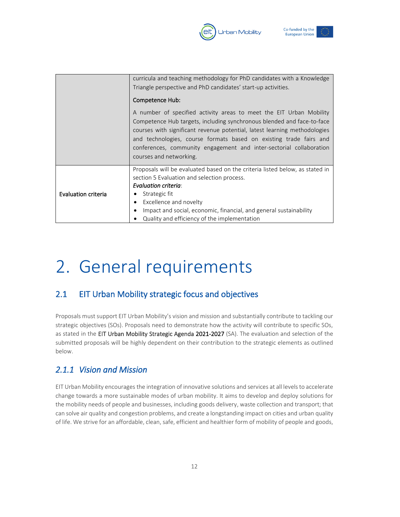



|                     | curricula and teaching methodology for PhD candidates with a Knowledge<br>Triangle perspective and PhD candidates' start-up activities.<br>Competence Hub:                                                                                                                                                                                                                                         |  |  |
|---------------------|----------------------------------------------------------------------------------------------------------------------------------------------------------------------------------------------------------------------------------------------------------------------------------------------------------------------------------------------------------------------------------------------------|--|--|
|                     | A number of specified activity areas to meet the EIT Urban Mobility<br>Competence Hub targets, including synchronous blended and face-to-face<br>courses with significant revenue potential, latest learning methodologies<br>and technologies, course formats based on existing trade fairs and<br>conferences, community engagement and inter-sectorial collaboration<br>courses and networking. |  |  |
|                     | Proposals will be evaluated based on the criteria listed below, as stated in<br>section 5 Evaluation and selection process.<br><b>Evaluation criteria:</b>                                                                                                                                                                                                                                         |  |  |
| Evaluation criteria | Strategic fit<br>٠                                                                                                                                                                                                                                                                                                                                                                                 |  |  |
|                     | Excellence and novelty<br>$\bullet$<br>Impact and social, economic, financial, and general sustainability<br>٠                                                                                                                                                                                                                                                                                     |  |  |
|                     | Quality and efficiency of the implementation                                                                                                                                                                                                                                                                                                                                                       |  |  |

## <span id="page-12-0"></span>2. General requirements

## <span id="page-12-1"></span>2.1 EIT Urban Mobility strategic focus and objectives

Proposals must support EIT Urban Mobility's vision and mission and substantially contribute to tackling our strategic objectives (SOs). Proposals need to demonstrate how the activity will contribute to specific SOs, as stated in the EIT Urban Mobility Strategic Agenda 2021-2027 (SA). The evaluation and selection of the submitted proposals will be highly dependent on their contribution to the strategic elements as outlined below.

## <span id="page-12-2"></span>*2.1.1 Vision and Mission*

EIT Urban Mobility encourages the integration of innovative solutions and services at all levels to accelerate change towards a more sustainable modes of urban mobility. It aims to develop and deploy solutions for the mobility needs of people and businesses, including goods delivery, waste collection and transport; that can solve air quality and congestion problems, and create a longstanding impact on cities and urban quality of life. We strive for an affordable, clean, safe, efficient and healthier form of mobility of people and goods,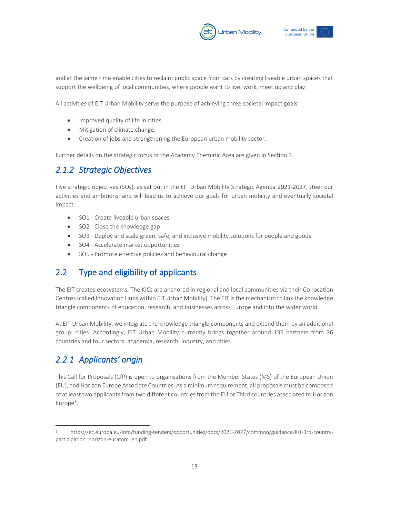



and at the same time enable cities to reclaim public space from cars by creating liveable urban spaces that support the wellbeing of local communities, where people want to live, work, meet up and play.

All activities of EIT Urban Mobility serve the purpose of achieving three societal impact goals:

- Improved quality of life in cities,
- Mitigation of climate change,
- Creation of jobs and strengthening the European urban mobility sector.

Further details on the strategic focus of the Academy Thematic Area are given in Section 3.

### <span id="page-13-0"></span>*2.1.2 Strategic Objectives*

Five strategic objectives (SOs), as set out in the EIT Urban Mobility Strategic Agenda 2021-2027, steer our activities and ambitions, and will lead us to achieve our goals for urban mobility and eventually societal impact:

- SO1 Create liveable urban spaces
- SO2 Close the knowledge gap
- SO3 Deploy and scale green, safe, and inclusive mobility solutions for people and goods
- SO4 Accelerate market opportunities
- SO5 Promote effective policies and behavioural change

## <span id="page-13-1"></span>2.2 Type and eligibility of applicants

The EIT creates ecosystems. The KICs are anchored in regional and local communities via their Co-location Centres (called Innovation Hubs within EIT Urban Mobility). The EIT is the mechanism to link the knowledge triangle components of education, research, and businesses across Europe and into the wider world.

At EIT Urban Mobility, we integrate the knowledge triangle components and extend them by an additional group: cities. Accordingly, EIT Urban Mobility currently brings together around 135 partners from 26 countries and four sectors: academia, research, industry, and cities.

## <span id="page-13-2"></span>*2.2.1 Applicants' origin*

This Call for Proposals (CfP) is open to organisations from the Member States (MS) of the European Union (EU), and Horizon Europe Associate Countries. As a minimum requirement, all proposals must be composed of at least two applicants from two different countries from the EU o[r Third countries associated to Horizon](https://ec.europa.eu/info/funding-tenders/opportunities/docs/2021-2027/common/guidance/list-3rd-country-participation_horizon-euratom_en.pdf)   $Europe<sup>1</sup>$  $Europe<sup>1</sup>$ .

<sup>1</sup> https://ec.europa.eu/info/funding-tenders/opportunities/docs/2021-2027/common/guidance/list-3rd-countryparticipation horizon-euratom en.pdf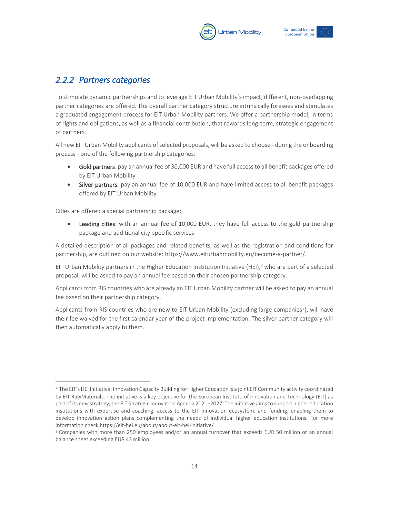



## <span id="page-14-0"></span>*2.2.2 Partners categories*

To stimulate dynamic partnerships and to leverage EIT Urban Mobility's impact, different, non-overlapping partner categories are offered. The overall partner category structure intrinsically foresees and stimulates a graduated engagement process for EIT Urban Mobility partners. We offer a partnership model, in terms of rights and obligations, as well as a financial contribution, that rewards long-term, strategic engagement of partners.

All new EIT Urban Mobility applicants of selected proposals, will be asked to choose - during the onboarding process - one of the following partnership categories:

- Gold partners: pay an annual fee of 30,000 EUR and have full access to all benefit packages offered by EIT Urban Mobility
- Silver partners: pay an annual fee of 10,000 EUR and have limited access to all benefit packages offered by EIT Urban Mobility

Cities are offered a special partnership package:

Leading cities: with an annual fee of 10,000 EUR, they have full access to the gold partnership package and additional city-specific services

A detailed description of all packages and related benefits, as well as the registration and conditions for partnership, are outlined on our website[: https://www.eiturbanmobility.eu/become-a-partner/.](https://www.eiturbanmobility.eu/become-a-partner/) 

EIT Urban Mobility partners in the Higher Education Institution Initiative (HEI),<sup>2</sup> who are part of a selected proposal, will be asked to pay an annual fee based on their chosen partnership category.

Applicants from RIS countries who are already an EIT Urban Mobility partner will be asked to pay an annual fee based on their partnership category.

Applicants from RIS countries who are new to EIT Urban Mobility (excluding large companies<sup>3</sup>), will have their fee waived for the first calendar year of the project implementation. The silver partner category will then automatically apply to them.

 $^2$  The EIT's HEI Initiative: Innovation Capacity Building for Higher Education is a joint EIT Community activity coordinated by EIT RawMaterials. The initiative is a key objective for the European Institute of Innovation and Technology (EIT) as part of its new strategy, the EIT Strategic Innovation Agenda 2021−2027. The initiative aims to support higher education institutions with expertise and coaching, access to the EIT innovation ecosystem, and funding, enabling them to develop innovation action plans complementing the needs of individual higher education institutions. For more information check https://eit-hei.eu/about/about-eit-hei-initiative/

<sup>&</sup>lt;sup>3</sup> Companies with more than 250 employees and/or an annual turnover that exceeds EUR 50 million or an annual balance sheet exceeding EUR 43 million.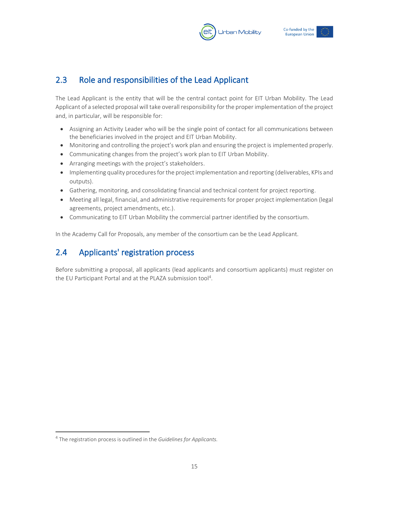



## <span id="page-15-0"></span>2.3 Role and responsibilities of the Lead Applicant

The Lead Applicant is the entity that will be the central contact point for EIT Urban Mobility. The Lead Applicant of a selected proposal will take overall responsibility for the proper implementation of the project and, in particular, will be responsible for:

- Assigning an Activity Leader who will be the single point of contact for all communications between the beneficiaries involved in the project and EIT Urban Mobility.
- Monitoring and controlling the project's work plan and ensuring the project is implemented properly.
- Communicating changes from the project's work plan to EIT Urban Mobility.
- Arranging meetings with the project's stakeholders.
- Implementing quality procedures for the project implementation and reporting (deliverables, KPIs and outputs).
- Gathering, monitoring, and consolidating financial and technical content for project reporting.
- Meeting all legal, financial, and administrative requirements for proper project implementation (legal agreements, project amendments, etc.).
- Communicating to EIT Urban Mobility the commercial partner identified by the consortium.

In the Academy Call for Proposals, any member of the consortium can be the Lead Applicant.

## <span id="page-15-1"></span>2.4 Applicants' registration process

Before submitting a proposal, all applicants (lead applicants and consortium applicants) must register on the EU Participant Portal and at the PLAZA submission tool<sup>4</sup>.

<sup>4</sup> The registration process is outlined in the *Guidelines for Applicants.*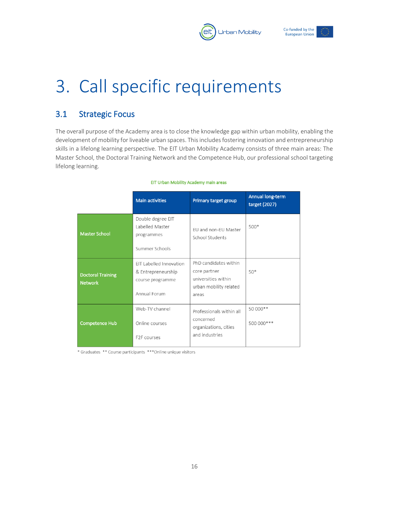



## <span id="page-16-0"></span>3. Call specific requirements

## <span id="page-16-1"></span>3.1 Strategic Focus

The overall purpose of the Academy area is to close the knowledge gap within urban mobility, enabling the development of mobility for liveable urban spaces. This includes fostering innovation and entrepreneurship skills in a lifelong learning perspective. The EIT Urban Mobility Academy consists of three main areas: The Master School, the Doctoral Training Network and the Competence Hub, our professional school targeting lifelong learning.

|                                            | <b>Main activities</b>                                                            | Primary target group                                                                            | Annual long-term<br>target (2027) |
|--------------------------------------------|-----------------------------------------------------------------------------------|-------------------------------------------------------------------------------------------------|-----------------------------------|
| <b>Master School</b>                       | Double degree EIT<br>Labelled Master<br>programmes<br>Summer Schools              | FU and non-FU Master<br>School Students                                                         | 500*                              |
| <b>Doctoral Training</b><br><b>Network</b> | FIT Labelled Innovation<br>& Entrepreneurship<br>course programme<br>Annual Forum | PhD candidates within<br>core partner<br>universities within<br>urban mobility related<br>areas | $50*$                             |
| Competence Hub                             | Web-TV channel<br>Online courses<br>F <sub>2</sub> F courses                      | Professionals within all<br>concerned<br>organizations, cities<br>and industries                | 50 000**<br>500 000 ***           |

#### EIT Urban Mobility Academy main areas

\* Graduates \*\* Course participants \*\*\* Online unique visitors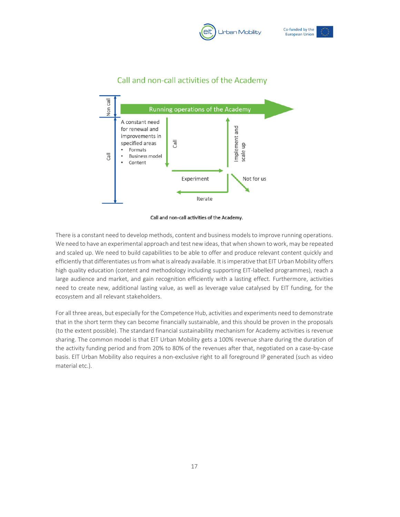





### Call and non-call activities of the Academy



There is a constant need to develop methods, content and business models to improve running operations. We need to have an experimental approach and test new ideas, that when shown to work, may be repeated and scaled up. We need to build capabilities to be able to offer and produce relevant content quickly and efficiently that differentiates us from what is already available. It is imperative that EIT Urban Mobility offers high quality education (content and methodology including supporting EIT-labelled programmes), reach a large audience and market, and gain recognition efficiently with a lasting effect. Furthermore, activities need to create new, additional lasting value, as well as leverage value catalysed by EIT funding, for the ecosystem and all relevant stakeholders.

For all three areas, but especially for the Competence Hub, activities and experiments need to demonstrate that in the short term they can become financially sustainable, and this should be proven in the proposals (to the extent possible). The standard financial sustainability mechanism for Academy activities is revenue sharing. The common model is that EIT Urban Mobility gets a 100% revenue share during the duration of the activity funding period and from 20% to 80% of the revenues after that, negotiated on a case-by-case basis. EIT Urban Mobility also requires a non-exclusive right to all foreground IP generated (such as video material etc.).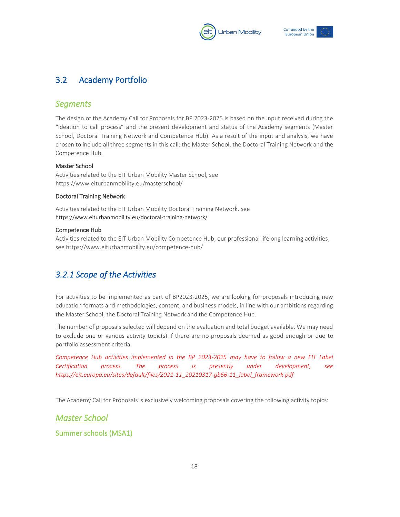



## <span id="page-18-0"></span>3.2 Academy Portfolio

### *Segments*

The design of the Academy Call for Proposals for BP 2023-2025 is based on the input received during the "ideation to call process" and the present development and status of the Academy segments (Master School, Doctoral Training Network and Competence Hub). As a result of the input and analysis, we have chosen to include all three segments in this call: the Master School, the Doctoral Training Network and the Competence Hub.

#### Master School

Activities related to the EIT Urban Mobility Master School, see <https://www.eiturbanmobility.eu/masterschool/>

#### Doctoral Training Network

Activities related to the EIT Urban Mobility Doctoral Training Network, see https://www.eiturbanmobility.eu/doctoral-training-network/

#### Competence Hub

Activities related to the EIT Urban Mobility Competence Hub, our professional lifelong learning activities, see https://www.eiturbanmobility.eu/competence-hub/

## <span id="page-18-1"></span>*3.2.1 Scope of the Activities*

For activities to be implemented as part of BP2023-2025, we are looking for proposals introducing new education formats and methodologies, content, and business models, in line with our ambitions regarding the Master School, the Doctoral Training Network and the Competence Hub.

The number of proposals selected will depend on the evaluation and total budget available. We may need to exclude one or various activity topic(s) if there are no proposals deemed as good enough or due to portfolio assessment criteria.

*Competence Hub activities implemented in the BP 2023-2025 may have to follow a new EIT Label Certification process. The process is presently under development, see [https://eit.europa.eu/sites/default/files/2021-11\\_20210317-gb66-11\\_label\\_framework.pdf](https://eit.europa.eu/sites/default/files/2021-11_20210317-gb66-11_label_framework.pdf)*

The Academy Call for Proposals is exclusively welcoming proposals covering the following activity topics:

### *Master School*

Summer schools (MSA1)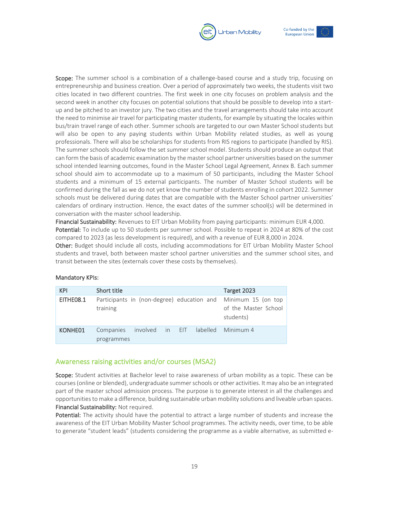



Scope: The summer school is a combination of a challenge-based course and a study trip, focusing on entrepreneurship and business creation. Over a period of approximately two weeks, the students visit two cities located in two different countries. The first week in one city focuses on problem analysis and the second week in another city focuses on potential solutions that should be possible to develop into a startup and be pitched to an investor jury. The two cities and the travel arrangements should take into account the need to minimise air travel for participating master students, for example by situating the locales within bus/train travel range of each other. Summer schools are targeted to our own Master School students but will also be open to any paying students within Urban Mobility related studies, as well as young professionals. There will also be scholarships for students from RIS regions to participate (handled by RIS). The summer schools should follow the set summer school model. Students should produce an output that can form the basis of academic examination by the master school partner universities based on the summer school intended learning outcomes, found in the Master School Legal Agreement, Annex B. Each summer school should aim to accommodate up to a maximum of 50 participants, including the Master School students and a minimum of 15 external participants. The number of Master School students will be confirmed during the fall as we do not yet know the number of students enrolling in cohort 2022. Summer schools must be delivered during dates that are compatible with the Master School partner universities' calendars of ordinary instruction. Hence, the exact dates of the summer school(s) will be determined in conversation with the master school leadership.

Financial Sustainability: Revenues to EIT Urban Mobility from paying participants: minimum EUR 4,000. Potential: To include up to 50 students per summer school. Possible to repeat in 2024 at 80% of the cost compared to 2023 (as less development is required), and with a revenue of EUR 8,000 in 2024.

Other: Budget should include all costs, including accommodations for EIT Urban Mobility Master School students and travel, both between master school partner universities and the summer school sites, and transit between the sites (externals cover these costs by themselves).

| <b>KPI</b> | Short title             |  |  | Target 2023                                                                                        |
|------------|-------------------------|--|--|----------------------------------------------------------------------------------------------------|
| EITHEO8.1  | training                |  |  | Participants in (non-degree) education and Minimum 15 (on top<br>of the Master School<br>students) |
| KONHE01    | Companies<br>programmes |  |  | involved in EIT labelled Minimum 4                                                                 |

#### Mandatory KPIs:

#### Awareness raising activities and/or courses (MSA2)

Scope: Student activities at Bachelor level to raise awareness of urban mobility as a topic. These can be courses (online or blended), undergraduate summer schools or other activities. It may also be an integrated part of the master school admission process. The purpose is to generate interest in all the challenges and opportunities to make a difference, building sustainable urban mobility solutions and liveable urban spaces. Financial Sustainability: Not required.

Potential: The activity should have the potential to attract a large number of students and increase the awareness of the EIT Urban Mobility Master School programmes. The activity needs, over time, to be able to generate "student leads" (students considering the programme as a viable alternative, as submitted e-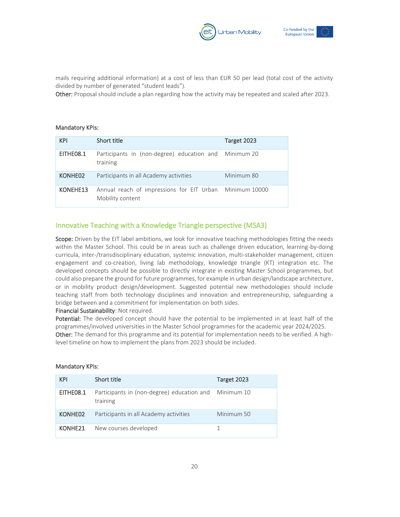



mails requiring additional information) at a cost of less than EUR 50 per lead (total cost of the activity divided by number of generated "student leads").

Other: Proposal should include a plan regarding how the activity may be repeated and scaled after 2023.

#### Mandatory KPIs:

| <b>KPI</b> | Short title                                                                 | Target 2023 |
|------------|-----------------------------------------------------------------------------|-------------|
| EITHEO8.1  | Participants in (non-degree) education and Minimum 20<br>training           |             |
| KONHE02    | Participants in all Academy activities                                      | Minimum 80  |
| KONEHE13   | Annual reach of impressions for EIT Urban Minimum 10000<br>Mobility content |             |

#### Innovative Teaching with a Knowledge Triangle perspective (MSA3)

Scope: Driven by the EIT label ambitions, we look for innovative teaching methodologies fitting the needs within the Master School. This could be in areas such as challenge driven education, learning-by-doing curricula, inter-/transdisciplinary education, systemic innovation, multi-stakeholder management, citizen engagement and co-creation, living lab methodology, knowledge triangle (KT) integration etc. The developed concepts should be possible to directly integrate in existing Master School programmes, but could also prepare the ground for future programmes, for example in urban design/landscape architecture, or in mobility product design/development. Suggested potential new methodologies should include teaching staff from both technology disciplines and innovation and entrepreneurship, safeguarding a bridge between and a commitment for implementation on both sides.

#### Financial Sustainability: Not required.

Potential: The developed concept should have the potential to be implemented in at least half of the programmes/involved universities in the Master School programmes for the academic year 2024/2025. Other: The demand for this programme and its potential for implementation needs to be verified. A highlevel timeline on how to implement the plans from 2023 should be included.

| <b>KPI</b> | Short title                                                       | Target 2023 |
|------------|-------------------------------------------------------------------|-------------|
| EITHEO8.1  | Participants in (non-degree) education and Minimum 10<br>training |             |
| KONHE02    | Participants in all Academy activities                            | Minimum 50  |
| KONHE21    | New courses developed                                             |             |

#### Mandatory KPIs: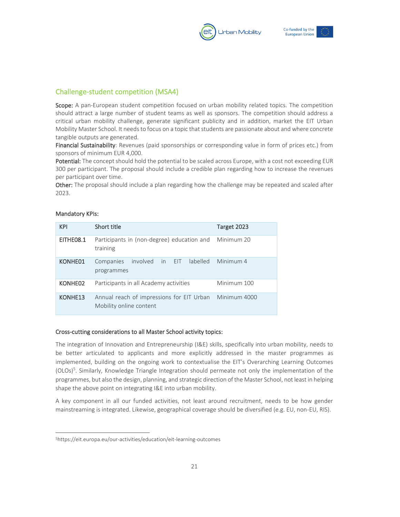



### Challenge-student competition (MSA4)

Scope: A pan-European student competition focused on urban mobility related topics. The competition should attract a large number of student teams as well as sponsors. The competition should address a critical urban mobility challenge, generate significant publicity and in addition, market the EIT Urban Mobility Master School. It needs to focus on a topic that students are passionate about and where concrete tangible outputs are generated.

Financial Sustainability: Revenues (paid sponsorships or corresponding value in form of prices etc.) from sponsors of minimum EUR 4,000.

Potential: The concept should hold the potential to be scaled across Europe, with a cost not exceeding EUR 300 per participant. The proposal should include a credible plan regarding how to increase the revenues per participant over time.

Other: The proposal should include a plan regarding how the challenge may be repeated and scaled after 2023.

| <b>KPI</b>          | Short title                                                                       | Target 2023        |  |  |  |
|---------------------|-----------------------------------------------------------------------------------|--------------------|--|--|--|
| EITHE08.1           | Participants in (non-degree) education and<br>Minimum 20<br>training              |                    |  |  |  |
| KONHE01             | involved in EIT<br>Companies<br>programmes                                        | labelled Minimum 4 |  |  |  |
| KONHE02             | Participants in all Academy activities                                            | Minimum 100        |  |  |  |
| KONHE <sub>13</sub> | Annual reach of impressions for EIT Urban Minimum 4000<br>Mobility online content |                    |  |  |  |

#### Mandatory KPIs:

#### Cross-cutting considerations to all Master School activity topics:

The integration of Innovation and Entrepreneurship (I&E) skills, specifically into urban mobility, needs to be better articulated to applicants and more explicitly addressed in the master programmes as implemented, building on the ongoing work to contextualise the EIT's Overarching Learning Outcomes (OLOs)<sup>5</sup> . Similarly, Knowledge Triangle Integration should permeate not only the implementation of the programmes, but also the design, planning, and strategic direction of the Master School, not least in helping shape the above point on integrating I&E into urban mobility.

A key component in all our funded activities, not least around recruitment, needs to be how gender mainstreaming is integrated. Likewise, geographical coverage should be diversified (e.g. EU, non-EU, RIS).

<sup>5</sup><https://eit.europa.eu/our-activities/education/eit-learning-outcomes>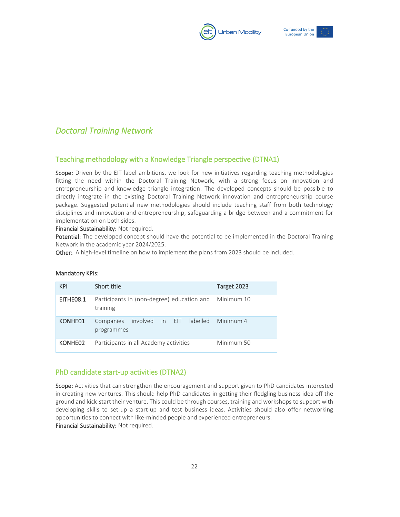



## *Doctoral Training Network*

#### Teaching methodology with a Knowledge Triangle perspective (DTNA1)

Scope: Driven by the EIT label ambitions, we look for new initiatives regarding teaching methodologies fitting the need within the Doctoral Training Network, with a strong focus on innovation and entrepreneurship and knowledge triangle integration. The developed concepts should be possible to directly integrate in the existing Doctoral Training Network innovation and entrepreneurship course package. Suggested potential new methodologies should include teaching staff from both technology disciplines and innovation and entrepreneurship, safeguarding a bridge between and a commitment for implementation on both sides.

Financial Sustainability: Not required.

Potential: The developed concept should have the potential to be implemented in the Doctoral Training Network in the academic year 2024/2025.

Other: A high-level timeline on how to implement the plans from 2023 should be included.

| <b>KPI</b> | Short title                                            | Target 2023 |
|------------|--------------------------------------------------------|-------------|
| EITHEO8.1  | Participants in (non-degree) education and<br>training | Minimum 10  |
| KONHE01    | Companies involved in EIT labelled<br>programmes       | Minimum 4   |
| KONHE02    | Participants in all Academy activities                 | Minimum 50  |

#### Mandatory KPIs:

#### PhD candidate start-up activities (DTNA2)

Scope: Activities that can strengthen the encouragement and support given to PhD candidates interested in creating new ventures. This should help PhD candidates in getting their fledgling business idea off the ground and kick-start their venture. This could be through courses, training and workshops to support with developing skills to set-up a start-up and test business ideas. Activities should also offer networking opportunities to connect with like-minded people and experienced entrepreneurs.

Financial Sustainability: Not required.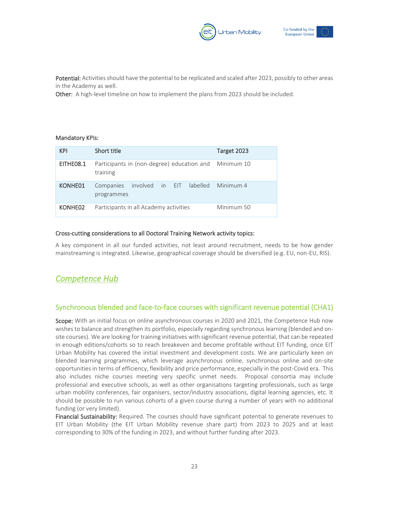



Potential: Activities should have the potential to be replicated and scaled after 2023, possibly to other areas in the Academy as well.

Other: A high-level timeline on how to implement the plans from 2023 should be included.

#### Mandatory KPIs:

| <b>KPI</b> | Short title                                                       | Target 2023 |
|------------|-------------------------------------------------------------------|-------------|
| EITHE08.1  | Participants in (non-degree) education and Minimum 10<br>training |             |
| KONHE01    | Companies involved in EIT labelled Minimum 4<br>programmes        |             |
| KONHE02    | Participants in all Academy activities                            | Minimum 50  |

#### Cross-cutting considerations to all Doctoral Training Network activity topics:

A key component in all our funded activities, not least around recruitment, needs to be how gender mainstreaming is integrated. Likewise, geographical coverage should be diversified (e.g. EU, non-EU, RIS).

### *Competence Hub*

#### Synchronous blended and face-to-face courses with significant revenue potential (CHA1)

Scope: With an initial focus on online asynchronous courses in 2020 and 2021, the Competence Hub now wishes to balance and strengthen its portfolio, especially regarding synchronous learning (blended and onsite courses). We are looking for training initiatives with significant revenue potential, that can be repeated in enough editions/cohorts so to reach breakeven and become profitable without EIT funding, once EIT Urban Mobility has covered the initial investment and development costs. We are particularly keen on blended learning programmes, which leverage asynchronous online, synchronous online and on-site opportunities in terms of efficiency, flexibility and price performance, especially in the post-Covid era. This also includes niche courses meeting very specific unmet needs. Proposal consortia may include professional and executive schools, as well as other organisations targeting professionals, such as large urban mobility conferences, fair organisers, sector/industry associations, digital learning agencies, etc. It should be possible to run various cohorts of a given course during a number of years with no additional funding (or very limited).

Financial Sustainability: Required. The courses should have significant potential to generate revenues to EIT Urban Mobility (the EIT Urban Mobility revenue share part) from 2023 to 2025 and at least corresponding to 30% of the funding in 2023, and without further funding after 2023.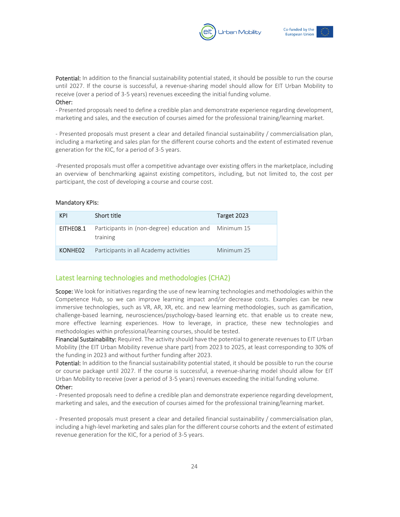



Potential: In addition to the financial sustainability potential stated, it should be possible to run the course until 2027. If the course is successful, a revenue-sharing model should allow for EIT Urban Mobility to receive (over a period of 3-5 years) revenues exceeding the initial funding volume. Other:

- Presented proposals need to define a credible plan and demonstrate experience regarding development, marketing and sales, and the execution of courses aimed for the professional training/learning market.

- Presented proposals must present a clear and detailed financial sustainability / commercialisation plan, including a marketing and sales plan for the different course cohorts and the extent of estimated revenue generation for the KIC, for a period of 3-5 years.

-Presented proposals must offer a competitive advantage over existing offers in the marketplace, including an overview of benchmarking against existing competitors, including, but not limited to, the cost per participant, the cost of developing a course and course cost.

#### Mandatory KPIs:

| <b>KPI</b> | Short title                                                       | Target 2023 |
|------------|-------------------------------------------------------------------|-------------|
| EITHE08.1  | Participants in (non-degree) education and Minimum 15<br>training |             |
| KONHE02    | Participants in all Academy activities                            | Minimum 25  |

#### Latest learning technologies and methodologies (CHA2)

Scope: We look for initiatives regarding the use of new learning technologies and methodologies within the Competence Hub, so we can improve learning impact and/or decrease costs. Examples can be new immersive technologies, such as VR, AR, XR, etc. and new learning methodologies, such as gamification, challenge-based learning, neurosciences/psychology-based learning etc. that enable us to create new, more effective learning experiences. How to leverage, in practice, these new technologies and methodologies within professional/learning courses, should be tested.

Financial Sustainability: Required. The activity should have the potential to generate revenues to EIT Urban Mobility (the EIT Urban Mobility revenue share part) from 2023 to 2025, at least corresponding to 30% of the funding in 2023 and without further funding after 2023.

Potential: In addition to the financial sustainability potential stated, it should be possible to run the course or course package until 2027. If the course is successful, a revenue-sharing model should allow for EIT Urban Mobility to receive (over a period of 3-5 years) revenues exceeding the initial funding volume. Other:

- Presented proposals need to define a credible plan and demonstrate experience regarding development, marketing and sales, and the execution of courses aimed for the professional training/learning market.

- Presented proposals must present a clear and detailed financial sustainability / commercialisation plan, including a high-level marketing and sales plan for the different course cohorts and the extent of estimated revenue generation for the KIC, for a period of 3-5 years.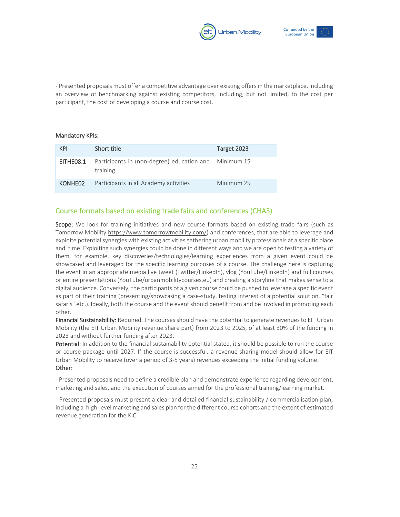



- Presented proposals must offer a competitive advantage over existing offers in the marketplace, including an overview of benchmarking against existing competitors, including, but not limited, to the cost per participant, the cost of developing a course and course cost.

#### Mandatory KPIs:

| <b>KPI</b> | Short title                                                       | Target 2023 |
|------------|-------------------------------------------------------------------|-------------|
| EITHEO8.1  | Participants in (non-degree) education and Minimum 15<br>training |             |
| KONHE02    | Participants in all Academy activities                            | Minimum 25  |

#### Course formats based on existing trade fairs and conferences (CHA3)

Scope: We look for training initiatives and new course formats based on existing trade fairs (such as Tomorrow Mobility [https://www.tomorrowmobility.com/\)](https://www.tomorrowmobility.com/) and conferences, that are able to leverage and exploite potential synergies with existing activities gathering urban mobility professionals at a specific place and time. Exploiting such synergies could be done in different ways and we are open to testing a variety of them, for example, key discoveries/technologies/learning experiences from a given event could be showcased and leveraged for the specific learning purposes of a course. The challenge here is capturing the event in an appropriate media live tweet (Twitter/LinkedIn), vlog (YouTube/LinkedIn) and full courses or entire presentations (YouTube/urbanmobilitycourses.eu) and creating a storyline that makes sense to a digital audience. Conversely, the participants of a given course could be pushed to leverage a specific event as part of their training (presenting/showcasing a case-study, testing interest of a potential solution, "fair safaris" etc.). Ideally, both the course and the event should benefit from and be involved in promoting each other.

Financial Sustainability: Required. The courses should have the potential to generate revenues to EIT Urban Mobility (the EIT Urban Mobility revenue share part) from 2023 to 2025, of at least 30% of the funding in 2023 and without further funding after 2023.

Potential: In addition to the financial sustainability potential stated, it should be possible to run the course or course package until 2027. If the course is successful, a revenue-sharing model should allow for EIT Urban Mobility to receive (over a period of 3-5 years) revenues exceeding the initial funding volume. Other:

- Presented proposals need to define a credible plan and demonstrate experience regarding development, marketing and sales, and the execution of courses aimed for the professional training/learning market.

- Presented proposals must present a clear and detailed financial sustainability / commercialisation plan, including a high-level marketing and sales plan for the different course cohorts and the extent of estimated revenue generation for the KIC.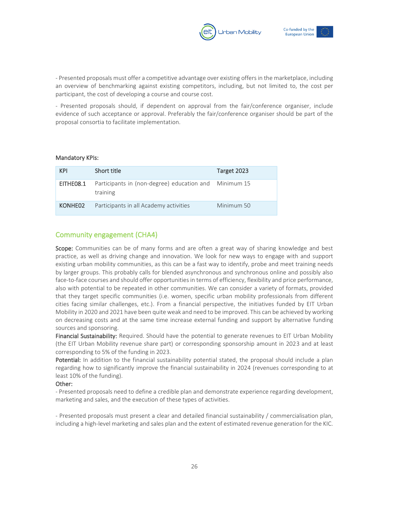



- Presented proposals must offer a competitive advantage over existing offers in the marketplace, including an overview of benchmarking against existing competitors, including, but not limited to, the cost per participant, the cost of developing a course and course cost.

- Presented proposals should, if dependent on approval from the fair/conference organiser, include evidence of such acceptance or approval. Preferably the fair/conference organiser should be part of the proposal consortia to facilitate implementation.

#### Mandatory KPIs:

| <b>KPI</b> | Short title                                                       | Target 2023 |
|------------|-------------------------------------------------------------------|-------------|
| EITHE08.1  | Participants in (non-degree) education and Minimum 15<br>training |             |
| KONHE02    | Participants in all Academy activities                            | Minimum 50  |

#### Community engagement (CHA4)

Scope: Communities can be of many forms and are often a great way of sharing knowledge and best practice, as well as driving change and innovation. We look for new ways to engage with and support existing urban mobility communities, as this can be a fast way to identify, probe and meet training needs by larger groups. This probably calls for blended asynchronous and synchronous online and possibly also face-to-face courses and should offer opportunities in terms of efficiency, flexibility and price performance, also with potential to be repeated in other communities. We can consider a variety of formats, provided that they target specific communities (i.e. women, specific urban mobility professionals from different cities facing similar challenges, etc.). From a financial perspective, the initiatives funded by EIT Urban Mobility in 2020 and 2021 have been quite weak and need to be improved. This can be achieved by working on decreasing costs and at the same time increase external funding and support by alternative funding sources and sponsoring.

Financial Sustainability: Required. Should have the potential to generate revenues to EIT Urban Mobility (the EIT Urban Mobility revenue share part) or corresponding sponsorship amount in 2023 and at least corresponding to 5% of the funding in 2023.

Potential: In addition to the financial sustainability potential stated, the proposal should include a plan regarding how to significantly improve the financial sustainability in 2024 (revenues corresponding to at least 10% of the funding).

#### Other:

- Presented proposals need to define a credible plan and demonstrate experience regarding development, marketing and sales, and the execution of these types of activities.

- Presented proposals must present a clear and detailed financial sustainability / commercialisation plan, including a high-level marketing and sales plan and the extent of estimated revenue generation for the KIC.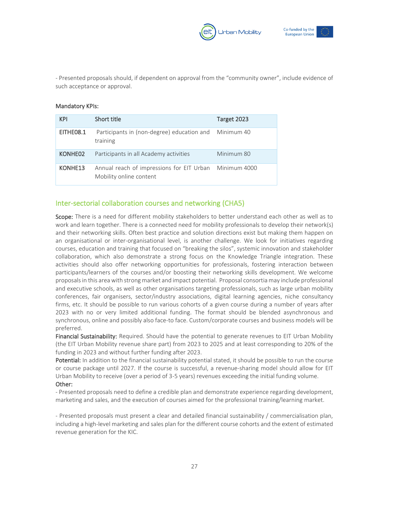



- Presented proposals should, if dependent on approval from the "community owner", include evidence of such acceptance or approval.

#### Mandatory KPIs:

| <b>KPI</b>          | Short title                                                          | Target 2023  |
|---------------------|----------------------------------------------------------------------|--------------|
| EITHEO8.1           | Participants in (non-degree) education and<br>training               | Minimum 40   |
| KONHE02             | Participants in all Academy activities                               | Minimum 80   |
| KONHE <sub>13</sub> | Annual reach of impressions for EIT Urban<br>Mobility online content | Minimum 4000 |

#### Inter-sectorial collaboration courses and networking (CHA5)

Scope: There is a need for different mobility stakeholders to better understand each other as well as to work and learn together. There is a connected need for mobility professionals to develop their network(s) and their networking skills. Often best practice and solution directions exist but making them happen on an organisational or inter-organisational level, is another challenge. We look for initiatives regarding courses, education and training that focused on "breaking the silos", systemic innovation and stakeholder collaboration, which also demonstrate a strong focus on the Knowledge Triangle integration. These activities should also offer networking opportunities for professionals, fostering interaction between participants/learners of the courses and/or boosting their networking skills development. We welcome proposals in this area with strong market and impact potential. Proposal consortia may include professional and executive schools, as well as other organisations targeting professionals, such as large urban mobility conferences, fair organisers, sector/industry associations, digital learning agencies, niche consultancy firms, etc. It should be possible to run various cohorts of a given course during a number of years after 2023 with no or very limited additional funding. The format should be blended asynchronous and synchronous, online and possibly also face-to face. Custom/corporate courses and business models will be preferred.

Financial Sustainability: Required. Should have the potential to generate revenues to EIT Urban Mobility (the EIT Urban Mobility revenue share part) from 2023 to 2025 and at least corresponding to 20% of the funding in 2023 and without further funding after 2023.

Potential: In addition to the financial sustainability potential stated, it should be possible to run the course or course package until 2027. If the course is successful, a revenue-sharing model should allow for EIT Urban Mobility to receive (over a period of 3-5 years) revenues exceeding the initial funding volume. Other:

- Presented proposals need to define a credible plan and demonstrate experience regarding development, marketing and sales, and the execution of courses aimed for the professional training/learning market.

- Presented proposals must present a clear and detailed financial sustainability / commercialisation plan, including a high-level marketing and sales plan for the different course cohorts and the extent of estimated revenue generation for the KIC.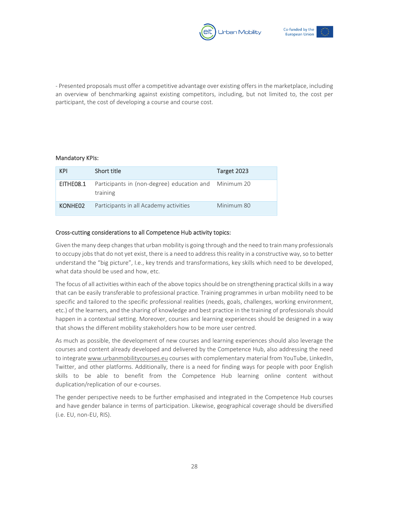



- Presented proposals must offer a competitive advantage over existing offers in the marketplace, including an overview of benchmarking against existing competitors, including, but not limited to, the cost per participant, the cost of developing a course and course cost.

#### Mandatory KPIs:

| <b>KPI</b> | Short title                                                       | Target 2023 |
|------------|-------------------------------------------------------------------|-------------|
| EITHE08.1  | Participants in (non-degree) education and Minimum 20<br>training |             |
| KONHE02    | Participants in all Academy activities                            | Minimum 80  |

#### Cross-cutting considerations to all Competence Hub activity topics:

Given the many deep changes that urban mobility is going through and the need to train many professionals to occupy jobs that do not yet exist, there is a need to address this reality in a constructive way, so to better understand the "big picture", I.e., key trends and transformations, key skills which need to be developed, what data should be used and how, etc.

The focus of all activities within each of the above topics should be on strengthening practical skills in a way that can be easily transferable to professional practice. Training programmes in urban mobility need to be specific and tailored to the specific professional realities (needs, goals, challenges, working environment, etc.) of the learners, and the sharing of knowledge and best practice in the training of professionals should happen in a contextual setting. Moreover, courses and learning experiences should be designed in a way that shows the different mobility stakeholders how to be more user centred.

As much as possible, the development of new courses and learning experiences should also leverage the courses and content already developed and delivered by the Competence Hub, also addressing the need to integrat[e www.urbanmobilitycourses.eu](http://www.urbanmobilitycourses.eu/) courses with complementary material from YouTube, LinkedIn, Twitter, and other platforms. Additionally, there is a need for finding ways for people with poor English skills to be able to benefit from the Competence Hub learning online content without duplication/replication of our e-courses.

The gender perspective needs to be further emphasised and integrated in the Competence Hub courses and have gender balance in terms of participation. Likewise, geographical coverage should be diversified (i.e. EU, non-EU, RIS).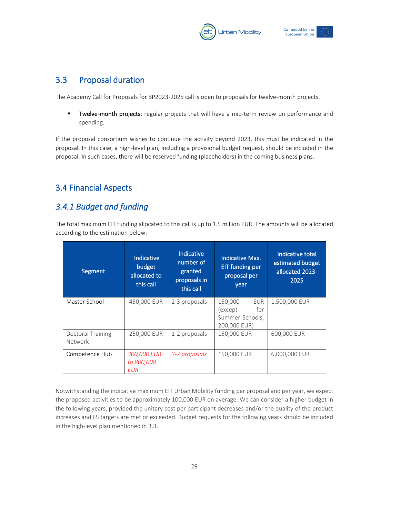



### <span id="page-29-0"></span>3.3 Proposal duration

The Academy Call for Proposals for BP2023-2025 call is open to proposals for twelve-month projects.

**■** Twelve-month projects: regular projects that will have a mid-term review on performance and spending.

If the proposal consortium wishes to continue the activity beyond 2023, this must be indicated in the proposal. In this case, a high-level plan, including a provisional budget request, should be included in the proposal. In such cases, there will be reserved funding (placeholders) in the coming business plans.

## <span id="page-29-1"></span>3.4 Financial Aspects

## <span id="page-29-2"></span>*3.4.1 Budget and funding*

The total maximum EIT funding allocated to this call is up to 1.5 million EUR. The amounts will be allocated according to the estimation below:

| Segment                      | Indicative<br>budget<br>allocated to<br>this call | Indicative<br>number of<br>granted<br>proposals in<br>this call | <b>Indicative Max.</b><br><b>EIT funding per</b><br>proposal per<br>year | Indicative total<br>estimated budget<br>allocated 2023-<br>2025 |
|------------------------------|---------------------------------------------------|-----------------------------------------------------------------|--------------------------------------------------------------------------|-----------------------------------------------------------------|
| Master School                | 450,000 EUR                                       | 2-3 proposals                                                   | 150,000<br>EUR<br>for<br>(except<br>Summer Schools,<br>200,000 EUR)      | 1,500,000 EUR                                                   |
| Doctoral Training<br>Network | 250,000 EUR                                       | 1-2 proposals                                                   | 150,000 EUR                                                              | 600,000 EUR                                                     |
| Competence Hub               | 300,000 EUR<br>to 800,000<br><b>EUR</b>           | 2-7 proposals                                                   | 150,000 EUR                                                              | 6,000,000 EUR                                                   |

Notwithstanding the indicative maximum EIT Urban Mobility funding per proposal and per year, we expect the proposed activities to be approximately 100,000 EUR on average. We can consider a higher budget in the following years, provided the unitary cost per participant decreases and/or the quality of the product increases and FS targets are met or exceeded. Budget requests for the following years should be included in the high-level plan mentioned in 3.3.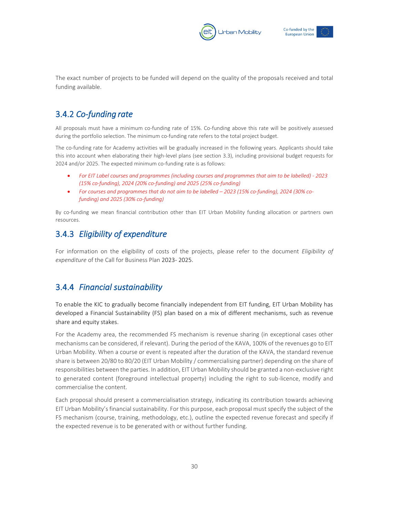



The exact number of projects to be funded will depend on the quality of the proposals received and total funding available.

## <span id="page-30-0"></span>3.4.2 *Co-funding rate*

All proposals must have a minimum co-funding rate of 15%. Co-funding above this rate will be positively assessed during the portfolio selection. The minimum co-funding rate refers to the total project budget.

The co-funding rate for Academy activities will be gradually increased in the following years. Applicants should take this into account when elaborating their high-level plans (see section 3.3), including provisional budget requests for 2024 and/or 2025. The expected minimum co-funding rate is as follows:

- *For EIT Label courses and programmes (including courses and programmes that aim to be labelled) - 2023 (15% co-funding), 2024 (20% co-funding) and 2025 (25% co-funding)*
- *For courses and programmes that do not aim to be labelled – 2023 (15% co-funding), 2024 (30% cofunding) and 2025 (30% co-funding)*

By co-funding we mean financial contribution other than EIT Urban Mobility funding allocation or partners own resources.

## <span id="page-30-1"></span>3.4.3 *Eligibility of expenditure*

For information on the eligibility of costs of the projects, please refer to the document *Eligibility of expenditure* of the Call for Business Plan 2023- 2025.

### <span id="page-30-2"></span>3.4.4 *Financial sustainability*

To enable the KIC to gradually become financially independent from EIT funding, EIT Urban Mobility has developed a Financial Sustainability (FS) plan based on a mix of different mechanisms, such as revenue share and equity stakes.

For the Academy area, the recommended FS mechanism is revenue sharing (in exceptional cases other mechanisms can be considered, if relevant). During the period of the KAVA, 100% of the revenues go to EIT Urban Mobility. When a course or event is repeated after the duration of the KAVA, the standard revenue share is between 20/80 to 80/20 (EIT Urban Mobility / commercialising partner) depending on the share of responsibilities between the parties. In addition, EIT Urban Mobility should be granted a non-exclusive right to generated content (foreground intellectual property) including the right to sub-licence, modify and commercialise the content.

Each proposal should present a commercialisation strategy, indicating its contribution towards achieving EIT Urban Mobility's financial sustainability. For this purpose, each proposal must specify the subject of the FS mechanism (course, training, methodology, etc.), outline the expected revenue forecast and specify if the expected revenue is to be generated with or without further funding.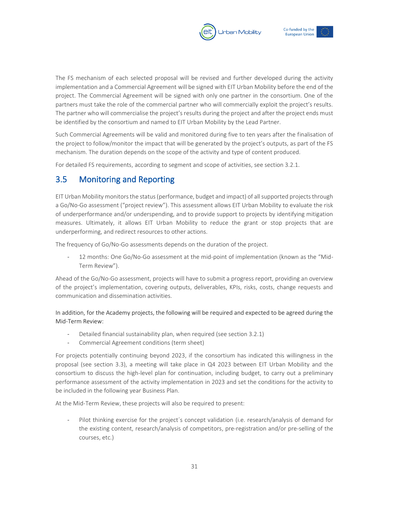



The FS mechanism of each selected proposal will be revised and further developed during the activity implementation and a Commercial Agreement will be signed with EIT Urban Mobility before the end of the project. The Commercial Agreement will be signed with only one partner in the consortium. One of the partners must take the role of the commercial partner who will commercially exploit the project's results. The partner who will commercialise the project's results during the project and after the project ends must be identified by the consortium and named to EIT Urban Mobility by the Lead Partner.

Such Commercial Agreements will be valid and monitored during five to ten years after the finalisation of the project to follow/monitor the impact that will be generated by the project's outputs, as part of the FS mechanism. The duration depends on the scope of the activity and type of content produced.

For detailed FS requirements, according to segment and scope of activities, see section 3.2.1.

### <span id="page-31-0"></span>3.5 Monitoring and Reporting

EIT Urban Mobility monitors the status (performance, budget and impact) of all supported projects through a Go/No-Go assessment ("project review"). This assessment allows EIT Urban Mobility to evaluate the risk of underperformance and/or underspending, and to provide support to projects by identifying mitigation measures. Ultimately, it allows EIT Urban Mobility to reduce the grant or stop projects that are underperforming, and redirect resources to other actions.

The frequency of Go/No-Go assessments depends on the duration of the project.

- 12 months: One Go/No-Go assessment at the mid-point of implementation (known as the "Mid-Term Review").

Ahead of the Go/No-Go assessment, projects will have to submit a progress report, providing an overview of the project's implementation, covering outputs, deliverables, KPIs, risks, costs, change requests and communication and dissemination activities.

In addition, for the Academy projects, the following will be required and expected to be agreed during the Mid-Term Review:

- Detailed financial sustainability plan, when required (see section 3.2.1)
- Commercial Agreement conditions (term sheet)

For projects potentially continuing beyond 2023, if the consortium has indicated this willingness in the proposal (see section 3.3), a meeting will take place in Q4 2023 between EIT Urban Mobility and the consortium to discuss the high-level plan for continuation, including budget, to carry out a preliminary performance assessment of the activity implementation in 2023 and set the conditions for the activity to be included in the following year Business Plan.

At the Mid-Term Review, these projects will also be required to present:

Pilot thinking exercise for the project's concept validation (i.e. research/analysis of demand for the existing content, research/analysis of competitors, pre-registration and/or pre-selling of the courses, etc.)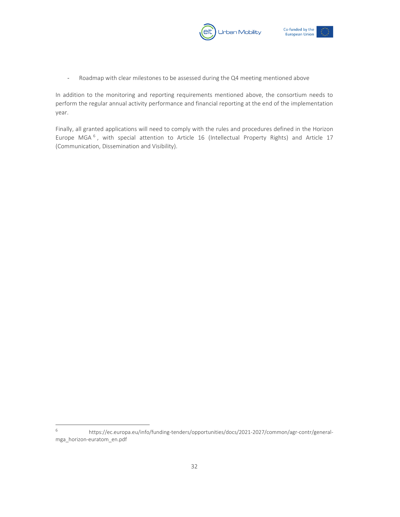



- Roadmap with clear milestones to be assessed during the Q4 meeting mentioned above

In addition to the monitoring and reporting requirements mentioned above, the consortium needs to perform the regular annual activity performance and financial reporting at the end of the implementation year.

Finally, all granted applications will need to comply with the rules and procedures defined in the Horizon Europe MGA<sup>6</sup>, with special attention to Article 16 (Intellectual Property Rights) and Article 17 (Communication, Dissemination and Visibility).

<sup>6</sup> https://ec.europa.eu/info/funding-tenders/opportunities/docs/2021-2027/common/agr-contr/generalmga\_horizon-euratom\_en.pdf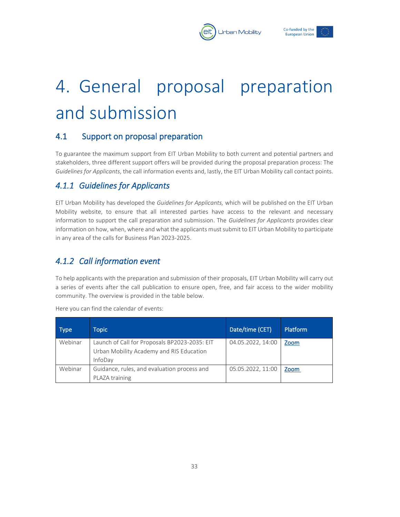



## <span id="page-33-0"></span>4. General proposal preparation and submission

### <span id="page-33-1"></span>4.1 Support on proposal preparation

To guarantee the maximum support from EIT Urban Mobility to both current and potential partners and stakeholders, three different support offers will be provided during the proposal preparation process: The *Guidelines for Applicants*, the call information events and, lastly, the EIT Urban Mobility call contact points.

## <span id="page-33-2"></span>*4.1.1 Guidelines for Applicants*

EIT Urban Mobility has developed the *Guidelines for Applicants,* which will be published on the EIT Urban Mobility website, to ensure that all interested parties have access to the relevant and necessary information to support the call preparation and submission. The *Guidelines for Applicants* provides clear information on how, when, where and what the applicants must submit to EIT Urban Mobility to participate in any area of the calls for Business Plan 2023-2025.

## <span id="page-33-3"></span>*4.1.2 Call information event*

To help applicants with the preparation and submission of their proposals, EIT Urban Mobility will carry out a series of events after the call publication to ensure open, free, and fair access to the wider mobility community. The overview is provided in the table below.

| <b>Type</b> | Topic                                                                                                | Date/time (CET)   | Platform |
|-------------|------------------------------------------------------------------------------------------------------|-------------------|----------|
| Webinar     | Launch of Call for Proposals BP2023-2035: EIT<br>Urban Mobility Academy and RIS Education<br>InfoDay | 04.05.2022, 14:00 | Zoom     |
| Webinar     | Guidance, rules, and evaluation process and<br>PLAZA training                                        | 05.05.2022, 11:00 | Zoom     |

Here you can find the calendar of events: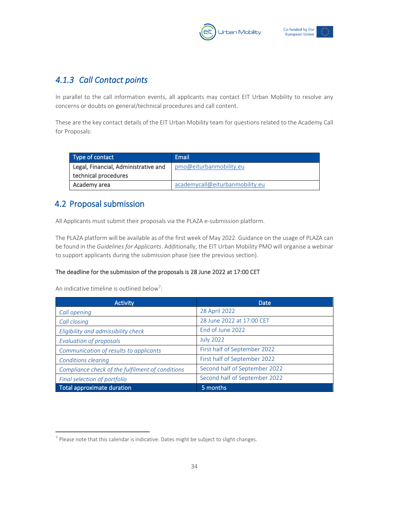



## <span id="page-34-0"></span>*4.1.3 Call Contact points*

In parallel to the call information events, all applicants may contact EIT Urban Mobility to resolve any concerns or doubts on general/technical procedures and call content.

These are the key contact details of the EIT Urban Mobility team for questions related to the Academy Call for Proposals:

| Type of contact                      | Email                           |
|--------------------------------------|---------------------------------|
| Legal, Financial, Administrative and | pmo@eiturbanmobility.eu         |
| technical procedures                 |                                 |
| Academy area                         | academycall@eiturbanmobility.eu |

## <span id="page-34-1"></span>4.2 Proposal submission

All Applicants must submit their proposals via the PLAZA e-submission platform.

The PLAZA platform will be available as of the first week of May 2022. Guidance on the usage of PLAZA can be found in the *Guidelines for Applicants*. Additionally, the EIT Urban Mobility PMO will organise a webinar to support applicants during the submission phase (see the previous section).

#### The deadline for the submission of the proposals is 28 June 2022 at 17:00 CET

An indicative timeline is outlined below<sup>7</sup>:

| <b>Activity</b>                                  | Date                          |  |
|--------------------------------------------------|-------------------------------|--|
| Call opening                                     | 28 April 2022                 |  |
| Call closing                                     | 28 June 2022 at 17:00 CET     |  |
| Eligibility and admissibility check              | End of June 2022              |  |
| <b>Evaluation of proposals</b>                   | <b>July 2022</b>              |  |
| Communication of results to applicants           | First half of September 2022  |  |
| <b>Conditions clearing</b>                       | First half of September 2022  |  |
| Compliance check of the fulfilment of conditions | Second half of September 2022 |  |
| Final selection of portfolio                     | Second half of September 2022 |  |
| Total approximate duration                       | 5 months                      |  |

 $<sup>7</sup>$  Please note that this calendar is indicative. Dates might be subject to slight changes.</sup>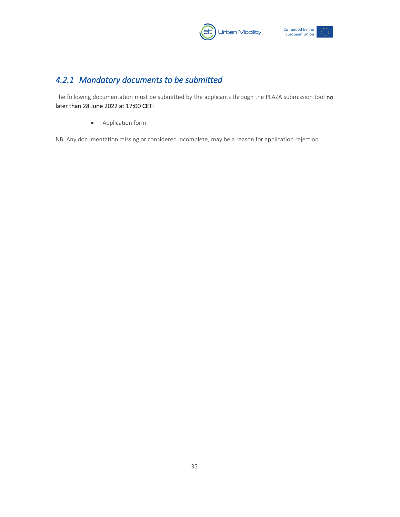



## <span id="page-35-0"></span>*4.2.1 Mandatory documents to be submitted*

The following documentation must be submitted by the applicants through the PLAZA submission tool no later than 28 June 2022 at 17:00 CET:

• Application form

NB: Any documentation missing or considered incomplete, may be a reason for application rejection.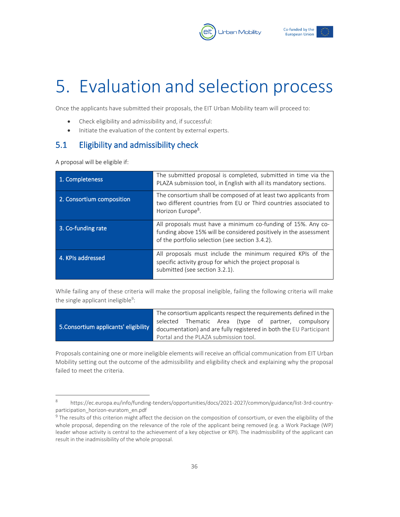



## <span id="page-36-0"></span>5. Evaluation and selection process

Once the applicants have submitted their proposals, the EIT Urban Mobility team will proceed to:

- Check eligibility and admissibility and, if successful:
- Initiate the evaluation of the content by external experts.

### <span id="page-36-1"></span>5.1 Eligibility and admissibility check

A proposal will be eligible if:

| 1. Completeness           | The submitted proposal is completed, submitted in time via the<br>PLAZA submission tool, in English with all its mandatory sections.                                                 |
|---------------------------|--------------------------------------------------------------------------------------------------------------------------------------------------------------------------------------|
| 2. Consortium composition | The consortium shall be composed of at least two applicants from<br>two different countries from EU or Third countries associated to<br>Horizon Europe <sup>8</sup> .                |
| 3. Co-funding rate        | All proposals must have a minimum co-funding of 15%. Any co-<br>funding above 15% will be considered positively in the assessment<br>of the portfolio selection (see section 3.4.2). |
| 4. KPIs addressed         | All proposals must include the minimum required KPIs of the<br>specific activity group for which the project proposal is<br>submitted (see section 3.2.1).                           |

While failing any of these criteria will make the proposal ineligible, failing the following criteria will make the single applicant ineligible<sup>9</sup>:

|                                       | The consortium applicants respect the requirements defined in the  |  |  |  |  |  |                                                     |
|---------------------------------------|--------------------------------------------------------------------|--|--|--|--|--|-----------------------------------------------------|
|                                       |                                                                    |  |  |  |  |  | selected Thematic Area (type of partner, compulsory |
| 5. Consortium applicants' eligibility | documentation) and are fully registered in both the EU Participant |  |  |  |  |  |                                                     |
|                                       | Portal and the PLAZA submission tool.                              |  |  |  |  |  |                                                     |

Proposals containing one or more ineligible elements will receive an official communication from EIT Urban Mobility setting out the outcome of the admissibility and eligibility check and explaining why the proposal failed to meet the criteria.

<sup>8</sup> https://ec.europa.eu/info/funding-tenders/opportunities/docs/2021-2027/common/guidance/list-3rd-countryparticipation horizon-euratom en.pdf

 $9$  The results of this criterion might affect the decision on the composition of consortium, or even the eligibility of the whole proposal, depending on the relevance of the role of the applicant being removed (e.g. a Work Package (WP) leader whose activity is central to the achievement of a key objective or KPI). The inadmissibility of the applicant can result in the inadmissibility of the whole proposal.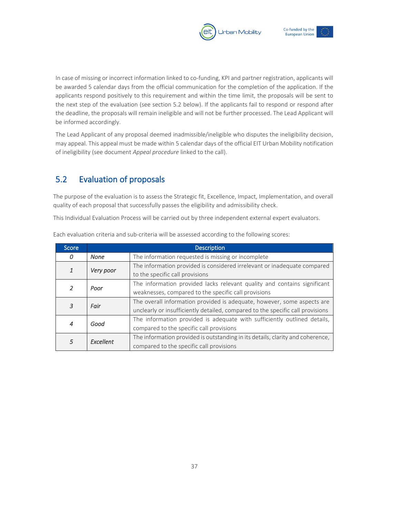



In case of missing or incorrect information linked to co-funding, KPI and partner registration, applicants will be awarded 5 calendar days from the official communication for the completion of the application. If the applicants respond positively to this requirement and within the time limit, the proposals will be sent to the next step of the evaluation (see section 5.2 below). If the applicants fail to respond or respond after the deadline, the proposals will remain ineligible and will not be further processed. The Lead Applicant will be informed accordingly.

The Lead Applicant of any proposal deemed inadmissible/ineligible who disputes the ineligibility decision, may appeal. This appeal must be made within 5 calendar days of the official EIT Urban Mobility notification of ineligibility (see document *Appeal procedure* linked to the call).

## <span id="page-37-0"></span>5.2 Evaluation of proposals

The purpose of the evaluation is to assess the Strategic fit, Excellence, Impact, Implementation, and overall quality of each proposal that successfully passes the eligibility and admissibility check.

This Individual Evaluation Process will be carried out by three independent external expert evaluators.

| Score          |                  | <b>Description</b>                                                                                                                                        |
|----------------|------------------|-----------------------------------------------------------------------------------------------------------------------------------------------------------|
| 0              | <b>None</b>      | The information requested is missing or incomplete                                                                                                        |
| 1              | Very poor        | The information provided is considered irrelevant or inadequate compared<br>to the specific call provisions                                               |
| 2              | Poor             | The information provided lacks relevant quality and contains significant<br>weaknesses, compared to the specific call provisions                          |
| 3              | Fair             | The overall information provided is adequate, however, some aspects are<br>unclearly or insufficiently detailed, compared to the specific call provisions |
| $\overline{4}$ | Good             | The information provided is adequate with sufficiently outlined details,<br>compared to the specific call provisions                                      |
| 5              | <b>Fxcellent</b> | The information provided is outstanding in its details, clarity and coherence,<br>compared to the specific call provisions                                |

Each evaluation criteria and sub-criteria will be assessed according to the following scores: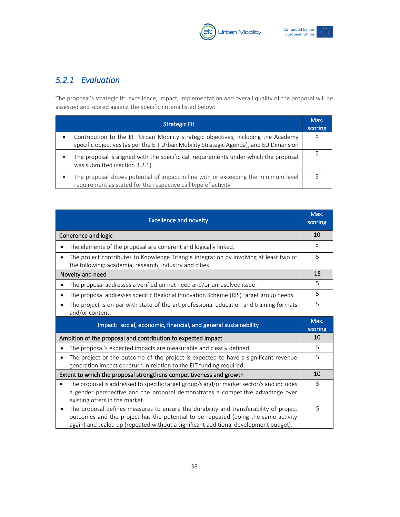



## <span id="page-38-0"></span>*5.2.1 Evaluation*

The proposal's strategic fit, excellence, impact, implementation and overall quality of the proposal will be assessed and scored against the specific criteria listed below:

| <b>Strategic Fit</b>                                                                                                                                                                      | Max.<br>scoring |
|-------------------------------------------------------------------------------------------------------------------------------------------------------------------------------------------|-----------------|
| Contribution to the EIT Urban Mobility strategic objectives, including the Academy<br>$\bullet$<br>specific objectives (as per the EIT Urban Mobility Strategic Agenda), and EU Dimension |                 |
| The proposal is aligned with the specific call requirements under which the proposal<br>was submitted (section 3.2.1)                                                                     |                 |
| The proposal shows potential of impact in line with or exceeding the minimum level<br>requirement as stated for the respective call type of activity                                      |                 |

| <b>Excellence and novelty</b>                                                                                                                                                                                 | Max.<br>scoring |
|---------------------------------------------------------------------------------------------------------------------------------------------------------------------------------------------------------------|-----------------|
| Coherence and logic                                                                                                                                                                                           | 10              |
| The elements of the proposal are coherent and logically linked.                                                                                                                                               | 5               |
| The project contributes to Knowledge Triangle integration by involving at least two of<br>the following: academia, research, industry and cities                                                              | 5               |
| Novelty and need                                                                                                                                                                                              | 15              |
| The proposal addresses a verified unmet need and/or unresolved issue.                                                                                                                                         | 5               |
| The proposal addresses specific Regional Innovation Scheme (RIS) target group needs.                                                                                                                          | 5               |
| The project is on par with state-of-the-art professional education and training formats<br>and/or content.                                                                                                    | 5               |
|                                                                                                                                                                                                               | Max.            |
| Impact: social, economic, financial, and general sustainability                                                                                                                                               | scoring         |
| Ambition of the proposal and contribution to expected impact                                                                                                                                                  | 10              |
| The proposal's expected impacts are measurable and clearly defined.                                                                                                                                           | 5               |
| The project or the outcome of the project is expected to have a significant revenue<br>generation impact or return in relation to the EIT funding required.                                                   | 5               |
| Extent to which the proposal strengthens competitiveness and growth                                                                                                                                           | 10              |
| The proposal is addressed to specific target group/s and/or market sector/s and includes<br>a gender perspective and the proposal demonstrates a competitive advantage over<br>existing offers in the market. | 5               |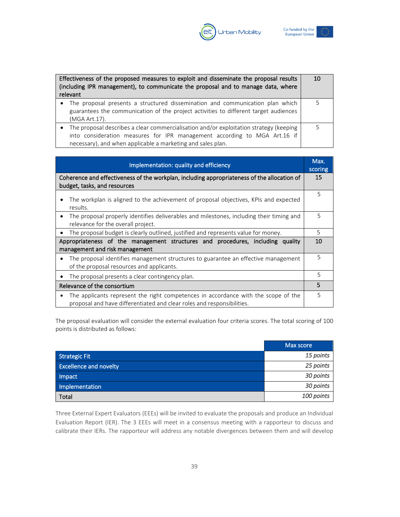



| Effectiveness of the proposed measures to exploit and disseminate the proposal results<br>(including IPR management), to communicate the proposal and to manage data, where<br>relevant                                              |  |
|--------------------------------------------------------------------------------------------------------------------------------------------------------------------------------------------------------------------------------------|--|
| • The proposal presents a structured dissemination and communication plan which<br>guarantees the communication of the project activities to different target audiences<br>(MGA Art.17).                                             |  |
| • The proposal describes a clear commercialisation and/or exploitation strategy (keeping<br>into consideration measures for IPR management according to MGA Art.16 if<br>necessary), and when applicable a marketing and sales plan. |  |

| Implementation: quality and efficiency                                                                                                                                    | Max.<br>scoring |
|---------------------------------------------------------------------------------------------------------------------------------------------------------------------------|-----------------|
| Coherence and effectiveness of the workplan, including appropriateness of the allocation of<br>budget, tasks, and resources                                               |                 |
| The workplan is aligned to the achievement of proposal objectives, KPIs and expected<br>results.                                                                          | 5               |
| The proposal properly identifies deliverables and milestones, including their timing and<br>$\bullet$<br>relevance for the overall project.                               | 5               |
| The proposal budget is clearly outlined, justified and represents value for money.                                                                                        | 5               |
| Appropriateness of the management structures and procedures, including quality                                                                                            |                 |
| management and risk management                                                                                                                                            |                 |
| The proposal identifies management structures to guarantee an effective management<br>٠<br>of the proposal resources and applicants.                                      | 5               |
| The proposal presents a clear contingency plan.                                                                                                                           | 5               |
| Relevance of the consortium                                                                                                                                               | 5               |
| The applicants represent the right competences in accordance with the scope of the<br>$\bullet$<br>proposal and have differentiated and clear roles and responsibilities. | 5               |

The proposal evaluation will consider the external evaluation four criteria scores. The total scoring of 100 points is distributed as follows:

|                               | Max score  |
|-------------------------------|------------|
| <b>Strategic Fit</b>          | 15 points  |
| <b>Excellence and novelty</b> | 25 points  |
| Impact                        | 30 points  |
| Implementation                | 30 points  |
| Total                         | 100 points |

Three External Expert Evaluators (EEEs) will be invited to evaluate the proposals and produce an Individual Evaluation Report (IER). The 3 EEEs will meet in a consensus meeting with a rapporteur to discuss and calibrate their IERs. The rapporteur will address any notable divergences between them and will develop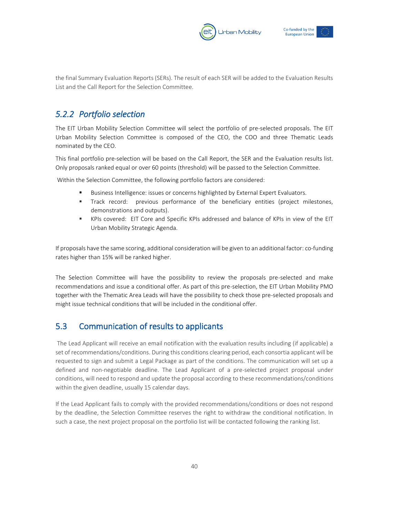



the final Summary Evaluation Reports (SERs). The result of each SER will be added to the Evaluation Results List and the Call Report for the Selection Committee.

## <span id="page-40-0"></span>*5.2.2 Portfolio selection*

The EIT Urban Mobility Selection Committee will select the portfolio of pre-selected proposals. The EIT Urban Mobility Selection Committee is composed of the CEO, the COO and three Thematic Leads nominated by the CEO.

This final portfolio pre-selection will be based on the Call Report, the SER and the Evaluation results list. Only proposals ranked equal or over 60 points (threshold) will be passed to the Selection Committee.

Within the Selection Committee, the following portfolio factors are considered:

- Business Intelligence: issues or concerns highlighted by External Expert Evaluators.
- Track record: previous performance of the beneficiary entities (project milestones, demonstrations and outputs).
- KPIs covered: EIT Core and Specific KPIs addressed and balance of KPIs in view of the EIT Urban Mobility Strategic Agenda.

If proposals have the same scoring, additional consideration will be given to an additional factor: co-funding rates higher than 15% will be ranked higher.

The Selection Committee will have the possibility to review the proposals pre-selected and make recommendations and issue a conditional offer. As part of this pre-selection, the EIT Urban Mobility PMO together with the Thematic Area Leads will have the possibility to check those pre-selected proposals and might issue technical conditions that will be included in the conditional offer.

## <span id="page-40-1"></span>5.3 Communication of results to applicants

The Lead Applicant will receive an email notification with the evaluation results including (if applicable) a set of recommendations/conditions. During this conditions clearing period, each consortia applicant will be requested to sign and submit a Legal Package as part of the conditions. The communication will set up a defined and non-negotiable deadline. The Lead Applicant of a pre-selected project proposal under conditions, will need to respond and update the proposal according to these recommendations/conditions within the given deadline, usually 15 calendar days.

If the Lead Applicant fails to comply with the provided recommendations/conditions or does not respond by the deadline, the Selection Committee reserves the right to withdraw the conditional notification. In such a case, the next project proposal on the portfolio list will be contacted following the ranking list.